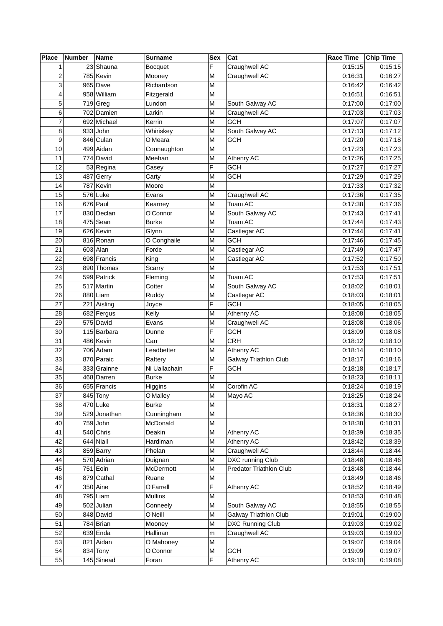| Place                   | Number | Name                  | <b>Surname</b> | <b>Sex</b> | Cat                          | <b>Race Time</b> | Chip Time |
|-------------------------|--------|-----------------------|----------------|------------|------------------------------|------------------|-----------|
| 1                       |        | 23 Shauna             | <b>Bocquet</b> | F          | Craughwell AC                | 0:15:15          | 0:15:15   |
| $\overline{c}$          |        | 785 Kevin             | Mooney         | M          | Craughwell AC                | 0:16:31          | 0:16:27   |
| 3                       |        | 965 Dave              | Richardson     | M          |                              | 0:16:42          | 0:16:42   |
| $\overline{\mathbf{4}}$ |        | 958 William           | Fitzgerald     | M          |                              | 0:16:51          | 0:16:51   |
| 5                       |        | $\overline{719}$ Greg | Lundon         | M          | South Galway AC              | 0:17:00          | 0:17:00   |
| 6                       |        | 702 Damien            | Larkin         | M          | Craughwell AC                | 0:17:03          | 0:17:03   |
| $\overline{7}$          |        | 692 Michael           | Kerrin         | M          | <b>GCH</b>                   | 0:17:07          | 0:17:07   |
| 8                       |        | $933$ John            | Whiriskey      | M          | South Galway AC              | 0:17:13          | 0:17:12   |
| 9                       |        | 846 Culan             | O'Meara        | M          | <b>GCH</b>                   | 0:17:20          | 0:17:18   |
| 10                      |        | 499 Aidan             | Connaughton    | M          |                              | 0:17:23          | 0:17:23   |
| 11                      |        | 774 David             | Meehan         | M          | Athenry AC                   | 0:17:26          | 0:17:25   |
| 12                      |        | 53 Regina             | Casey          | F          | <b>GCH</b>                   | 0:17:27          | 0:17:27   |
| 13                      |        | 487 Gerry             | Carty          | M          | <b>GCH</b>                   | 0:17:29          | 0:17:29   |
| 14                      |        | 787 Kevin             | Moore          | M          |                              | 0:17:33          | 0:17:32   |
| 15                      |        | 576 Luke              | Evans          | M          | Craughwell AC                | 0:17:36          | 0:17:35   |
| 16                      |        | $676$ Paul            | Kearney        | M          | Tuam AC                      | 0:17:38          | 0:17:36   |
| 17                      |        | 830 Declan            | O'Connor       | M          | South Galway AC              | 0:17:43          | 0:17:41   |
| 18                      |        | 475 Sean              | <b>Burke</b>   | M          | Tuam AC                      | 0:17:44          | 0:17:43   |
| 19                      |        | 626 Kevin             | Glynn          | M          | Castlegar AC                 | 0:17:44          | 0:17:41   |
| 20                      |        | 816 Ronan             | O Conghaile    | M          | <b>GCH</b>                   | 0:17:46          | 0:17:45   |
| 21                      |        | $603$ Alan            | Forde          | M          | Castlegar AC                 | 0:17:49          | 0:17:47   |
| 22                      |        | 698 Francis           | King           | M          | Castlegar AC                 | 0:17:52          | 0:17:50   |
| 23                      |        | 890 Thomas            | Scarry         | M          |                              | 0:17:53          | 0:17:51   |
| 24                      |        | 599 Patrick           | Fleming        | M          | <b>Tuam AC</b>               | 0:17:53          | 0:17:51   |
| 25                      |        | 517 Martin            | Cotter         | M          | South Galway AC              | 0:18:02          | 0:18:01   |
| 26                      |        | 880 Liam              | Ruddy          | M          | Castlegar AC                 | 0:18:03          | 0:18:01   |
| 27                      |        | 221 Aisling           | Joyce          | F          | <b>GCH</b>                   | 0:18:05          | 0:18:05   |
| 28                      |        | 682 Fergus            | Kelly          | M          | Athenry AC                   | 0:18:08          | 0:18:05   |
| 29                      |        | 575 David             | Evans          | M          | Craughwell AC                | 0:18:08          | 0:18:06   |
| 30                      |        | 115 Barbara           | Dunne          | F          | <b>GCH</b>                   | 0:18:09          | 0:18:08   |
| 31                      |        | 486 Kevin             | Carr           | M          | <b>CRH</b>                   | 0:18:12          | 0:18:10   |
| 32                      |        | $706$ Adam            | Leadbetter     | M          | Athenry AC                   | 0:18:14          | 0:18:10   |
| 33                      |        | 870 Paraic            | Raftery        | M          | Galway Triathlon Club        | 0:18:17          | 0:18:16   |
| 34                      |        | 333 Grainne           | Ni Uallachain  | F          | <b>GCH</b>                   | 0:18:18          | 0:18:17   |
| 35                      |        | 468 Darren            | <b>Burke</b>   | M          |                              | 0:18:23          | 0:18:11   |
| 36                      |        | 655 Francis           | Higgins        | ${\sf M}$  | Corofin AC                   | 0:18:24          | 0:18:19   |
| 37                      |        | $845$ Tony            | O'Malley       | м          | Mayo AC                      | 0:18:25          | 0:18:24   |
| 38                      |        | $470$ Luke            | <b>Burke</b>   | M          |                              | 0:18:31          | 0:18:27   |
| 39                      |        | 529 Jonathan          | Cunningham     | M          |                              | 0:18:36          | 0:18:30   |
| 40                      |        | 759 John              | McDonald       | M          |                              | 0:18:38          | 0:18:31   |
| 41                      |        | 540 Chris             | Deakin         | M          | Athenry AC                   | 0:18:39          | 0:18:35   |
| 42                      |        | $644$ Niall           | Hardiman       | M          | Athenry AC                   | 0:18:42          | 0:18:39   |
| 43                      |        | 859 Barry             | Phelan         | M          | Craughwell AC                | 0:18:44          | 0:18:44   |
| 44                      |        | 570 Adrian            | Duignan        | M          | DXC running Club             | 0:18:48          | 0:18:46   |
| 45                      |        | $751$ Eoin            | McDermott      | M          | Predator Triathlon Club      | 0:18:48          | 0:18:44   |
| 46                      |        | 879 Cathal            | Ruane          | M          |                              | 0:18:49          | 0:18:46   |
| 47                      |        | 350 Aine              | O'Farrell      | F          | Athenry AC                   | 0:18:52          | 0:18:49   |
| 48                      |        | 795 Liam              | <b>Mullins</b> | M          |                              | 0:18:53          | 0:18:48   |
| 49                      |        | 502 Julian            | Conneely       | M          | South Galway AC              | 0:18:55          | 0:18:55   |
| 50                      |        | 848 David             | O'Neill        | M          | <b>Galway Triathlon Club</b> | 0:19:01          | 0:19:00   |
| 51                      |        | 784 Brian             | Mooney         | M          | DXC Running Club             | 0:19:03          | 0:19:02   |
| 52                      |        | $639$ Enda            | Hallinan       | m          | Craughwell AC                | 0:19:03          | 0:19:00   |
| 53                      |        | 821 Aidan             | O Mahoney      | M          |                              | 0:19:07          | 0:19:04   |
| 54                      |        | $834$ Tony            | O'Connor       | M          | <b>GCH</b>                   | 0:19:09          | 0:19:07   |
| 55                      |        | 145 Sinead            | Foran          | F          | Athenry AC                   | 0:19:10          | 0:19:08   |
|                         |        |                       |                |            |                              |                  |           |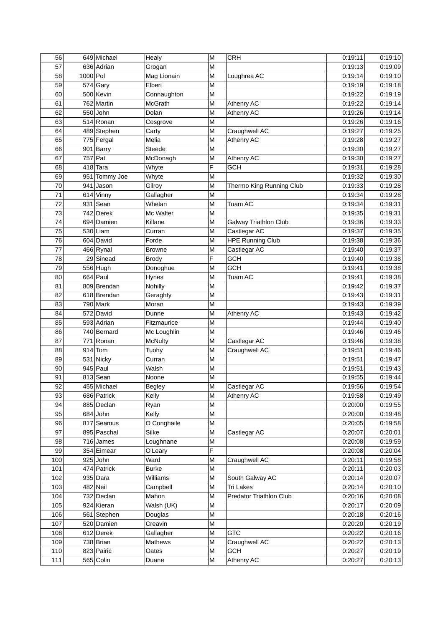| 56  |          | 649 Michael   | Healy         | M         | <b>CRH</b>                   | 0:19:11 | 0:19:10 |
|-----|----------|---------------|---------------|-----------|------------------------------|---------|---------|
| 57  |          | 636 Adrian    | Grogan        | M         |                              | 0:19:13 | 0:19:09 |
| 58  | 1000 Pol |               | Mag Lionain   | M         | Loughrea AC                  | 0:19:14 | 0:19:10 |
| 59  |          | $574$ Gary    | Elbert        | M         |                              | 0:19:19 | 0:19:18 |
| 60  |          | 500 Kevin     | Connaughton   | M         |                              | 0:19:22 | 0:19:19 |
| 61  |          | 762 Martin    | McGrath       | M         | Athenry AC                   | 0:19:22 | 0:19:14 |
| 62  |          | $550$ John    | Dolan         | M         | Athenry AC                   | 0:19:26 | 0:19:14 |
| 63  |          | $514$ Ronan   | Cosgrove      | M         |                              | 0:19:26 | 0:19:16 |
| 64  |          | 489 Stephen   | Carty         | M         | Craughwell AC                | 0:19:27 | 0:19:25 |
| 65  |          | 775 Fergal    | Melia         | M         | Athenry AC                   | 0:19:28 | 0:19:27 |
| 66  |          | 901 Barry     | Steede        | M         |                              | 0:19:30 | 0:19:27 |
| 67  |          | $757$ Pat     | McDonagh      | M         | Athenry AC                   | 0:19:30 | 0:19:27 |
| 68  |          | $418$ Tara    | Whyte         | F         | <b>GCH</b>                   | 0:19:31 | 0:19:28 |
| 69  |          | 951 Tommy Joe | Whyte         | M         |                              | 0:19:32 | 0:19:30 |
| 70  |          | $941$ Jason   | Gilroy        | M         | Thermo King Running Club     | 0:19:33 | 0:19:28 |
| 71  |          | $614$ Vinny   | Gallagher     | M         |                              | 0:19:34 | 0:19:28 |
| 72  |          | $931$ Sean    | Whelan        | M         | Tuam AC                      | 0:19:34 | 0:19:31 |
| 73  |          | 742 Derek     | Mc Walter     | M         |                              | 0:19:35 | 0:19:31 |
| 74  |          | 694 Damien    | Killane       | M         | <b>Galway Triathlon Club</b> | 0:19:36 | 0:19:33 |
| 75  |          | $530$  Liam   | Curran        | M         | Castlegar AC                 | 0:19:37 | 0:19:35 |
| 76  |          | 604 David     | Forde         | M         | <b>HPE Running Club</b>      | 0:19:38 | 0:19:36 |
| 77  |          | $466$ Rynal   | <b>Browne</b> | M         | Castlegar AC                 | 0:19:40 | 0:19:37 |
| 78  |          | 29 Sinead     | <b>Brody</b>  | F         | <b>GCH</b>                   | 0:19:40 | 0:19:38 |
| 79  |          | $556$ Hugh    | Donoghue      | M         | GCH                          | 0:19:41 | 0:19:38 |
| 80  |          | $664$ Paul    | Hynes         | M         | Tuam AC                      | 0:19:41 | 0:19:38 |
| 81  |          | 809 Brendan   | Nohilly       | M         |                              | 0:19:42 | 0:19:37 |
| 82  |          | 618 Brendan   | Geraghty      | M         |                              | 0:19:43 | 0:19:31 |
| 83  |          | $790$ Mark    | Moran         | M         |                              | 0:19:43 | 0:19:39 |
| 84  |          | 572 David     | Dunne         | M         | Athenry AC                   | 0:19:43 | 0:19:42 |
| 85  |          | 593 Adrian    | Fitzmaurice   | M         |                              | 0:19:44 | 0:19:40 |
| 86  |          | 740 Bernard   | Mc Loughlin   | M         |                              | 0:19:46 | 0:19:46 |
| 87  |          | $771$ Ronan   | McNulty       | M         | Castlegar AC                 | 0:19:46 | 0:19:38 |
| 88  |          | $914$ Tom     | Tuohy         | M         | Craughwell AC                | 0:19:51 | 0:19:46 |
| 89  |          | 531 Nicky     | Curran        | M         |                              | 0:19:51 | 0:19:47 |
| 90  |          | $945$ Paul    | Walsh         | M         |                              | 0:19:51 | 0:19:43 |
| 91  |          | $813$ Sean    | Noone         | M         |                              | 0:19:55 | 0:19:44 |
| 92  |          | 455 Michael   | Begley        | ${\sf M}$ | Castlegar AC                 | 0:19:56 | 0:19:54 |
| 93  |          | 686 Patrick   | Kelly         | M         | <b>Athenry AC</b>            | 0:19:58 | 0:19:49 |
| 94  |          | 885 Declan    | Ryan          | M         |                              | 0:20:00 | 0:19:55 |
| 95  |          | $684$ John    | Kelly         | M         |                              | 0:20:00 | 0:19:48 |
| 96  |          | 817 Seamus    | O Conghaile   | M         |                              | 0:20:05 | 0:19:58 |
| 97  |          | 895 Paschal   | Silke         | M         | Castlegar AC                 | 0:20:07 | 0:20:01 |
| 98  |          | $716$ James   | Loughnane     | M         |                              | 0:20:08 | 0:19:59 |
| 99  |          | 354 Eimear    | O'Leary       | F         |                              | 0:20:08 | 0:20:04 |
| 100 |          | $925$ John    | Ward          | M         | Craughwell AC                | 0:20:11 | 0:19:58 |
| 101 |          | 474 Patrick   | <b>Burke</b>  | M         |                              | 0:20:11 | 0:20:03 |
| 102 |          | $935$ Dara    | Williams      | M         | South Galway AC              | 0:20:14 | 0:20:07 |
| 103 |          | $482$ Neil    | Campbell      | M         | Tri Lakes                    | 0:20:14 | 0:20:10 |
| 104 |          | 732 Declan    | Mahon         | M         | Predator Triathlon Club      | 0:20:16 | 0:20:08 |
| 105 |          | 924 Kieran    | Walsh (UK)    | M         |                              | 0:20:17 | 0:20:09 |
| 106 |          | 561 Stephen   | Douglas       | M         |                              | 0:20:18 | 0:20:16 |
| 107 |          | 520 Damien    | Creavin       | M         |                              | 0:20:20 | 0:20:19 |
| 108 |          | 612 Derek     | Gallagher     | M         | <b>GTC</b>                   | 0:20:22 | 0:20:16 |
| 109 |          | $738$ Brian   | Mathews       | M         | Craughwell AC                | 0:20:22 | 0:20:13 |
| 110 |          | 823 Pairic    | Oates         | M         | <b>GCH</b>                   | 0:20:27 | 0:20:19 |
| 111 |          | $565$ Colin   | Duane         | M         | Athenry AC                   | 0:20:27 | 0:20:13 |
|     |          |               |               |           |                              |         |         |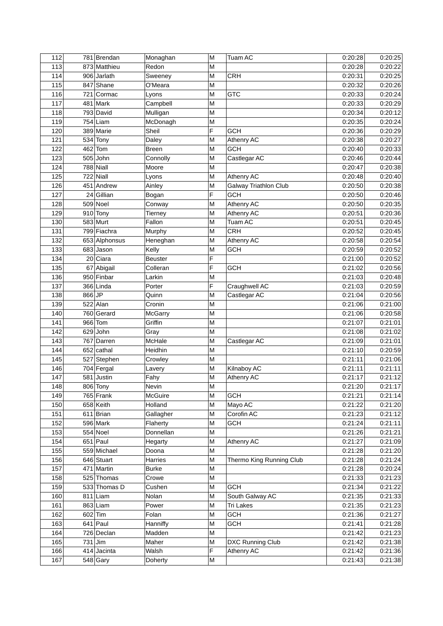| 112 |       | 781 Brendan   | Monaghan          | M         | Tuam AC                      | 0:20:28 | 0:20:25 |
|-----|-------|---------------|-------------------|-----------|------------------------------|---------|---------|
| 113 |       | 873 Matthieu  | Redon             | M         |                              | 0:20:28 | 0:20:22 |
| 114 |       | 906 Jarlath   | Sweeney           | M         | <b>CRH</b>                   | 0:20:31 | 0:20:25 |
| 115 |       | 847 Shane     | O'Meara           | M         |                              | 0:20:32 | 0:20:26 |
| 116 |       | 721 Cormac    | Lyons             | M         | GTC                          | 0:20:33 | 0:20:24 |
| 117 |       | $481$ Mark    | Campbell          | M         |                              | 0:20:33 | 0:20:29 |
| 118 |       | 793 David     | Mulligan          | M         |                              | 0:20:34 | 0:20:12 |
| 119 |       | $754$ Liam    | McDonagh          | M         |                              | 0:20:35 | 0:20:24 |
| 120 |       | 389 Marie     | Sheil             | F         | <b>GCH</b>                   | 0:20:36 | 0:20:29 |
| 121 |       | $534$ Tony    | Daley             | M         | Athenry AC                   | 0:20:38 | 0:20:27 |
| 122 |       | $462$ Tom     | <b>Breen</b>      | M         | GCH                          | 0:20:40 | 0:20:33 |
| 123 |       | $505$ John    | Connolly          | M         | Castlegar AC                 | 0:20:46 | 0:20:44 |
| 124 |       | $788$ Niall   | Moore             | M         |                              | 0:20:47 | 0:20:38 |
| 125 |       | $722$ Niall   | Lyons             | M         | Athenry AC                   | 0:20:48 | 0:20:40 |
| 126 |       | 451 Andrew    | Ainley            | M         | <b>Galway Triathlon Club</b> | 0:20:50 | 0:20:38 |
| 127 |       | 24 Gillian    | Bogan             | F         | <b>GCH</b>                   | 0:20:50 | 0:20:46 |
| 128 |       | $509$ Noel    | Conway            | M         | Athenry AC                   | 0:20:50 | 0:20:35 |
| 129 |       | $910$ Tony    |                   | M         |                              | 0:20:51 | 0:20:36 |
| 130 |       | 583 Murt      | Tierney<br>Fallon | M         | Athenry AC<br>Tuam AC        | 0:20:51 | 0:20:45 |
|     |       | 799 Fiachra   |                   |           |                              |         | 0:20:45 |
| 131 |       |               | Murphy            | M         | <b>CRH</b>                   | 0:20:52 | 0:20:54 |
| 132 |       | 653 Alphonsus | Heneghan          | M         | Athenry AC                   | 0:20:58 |         |
| 133 |       | $683$ Jason   | Kelly             | M         | <b>GCH</b>                   | 0:20:59 | 0:20:52 |
| 134 |       | 20 Ciara      | <b>Beuster</b>    | F         |                              | 0:21:00 | 0:20:52 |
| 135 |       | 67 Abigail    | Colleran          | F         | <b>GCH</b>                   | 0:21:02 | 0:20:56 |
| 136 |       | 950 Finbar    | Larkin            | M         |                              | 0:21:03 | 0:20:48 |
| 137 |       | 366 Linda     | Porter            | F         | Craughwell AC                | 0:21:03 | 0:20:59 |
| 138 | 866JP |               | Quinn             | M         | Castlegar AC                 | 0:21:04 | 0:20:56 |
| 139 |       | $522$ Alan    | Cronin            | M         |                              | 0:21:06 | 0:21:00 |
| 140 |       | 760 Gerard    | McGarry           | M         |                              | 0:21:06 | 0:20:58 |
| 141 |       | 966 Tom       | Griffin           | M         |                              | 0:21:07 | 0:21:01 |
| 142 |       | $629$ John    | Gray              | M         |                              | 0:21:08 | 0:21:02 |
| 143 |       | 767 Darren    | McHale            | M         | Castlegar AC                 | 0:21:09 | 0:21:01 |
| 144 |       | $652$ cathal  | Heidhin           | M         |                              | 0:21:10 | 0:20:59 |
| 145 |       | 527 Stephen   | Crowley           | M         |                              | 0:21:11 | 0:21:06 |
| 146 |       | 704 Fergal    | Lavery            | M         | Kilnaboy AC                  | 0:21:11 | 0:21:11 |
| 147 |       | $581$ Justin  | Fahy              | M         | Athenry AC                   | 0:21:17 | 0:21:12 |
| 148 |       | $806$ Tony    | Nevin             | ${\sf M}$ |                              | 0:21:20 | 0:21:17 |
| 149 |       | 765 Frank     | McGuire           | М         | <b>GCH</b>                   | 0:21:21 | 0:21:14 |
| 150 |       | 658 Keith     | Holland           | M         | Mayo AC                      | 0:21:22 | 0:21:20 |
| 151 |       | $611$  Brian  | Gallagher         | M         | Corofin AC                   | 0:21:23 | 0:21:12 |
| 152 |       | 596 Mark      | Flaherty          | M         | <b>GCH</b>                   | 0:21:24 | 0:21:11 |
| 153 |       | $554$ Noel    | Donnellan         | M         |                              | 0:21:26 | 0:21:21 |
| 154 |       | $651$ Paul    | Hegarty           | M         | Athenry AC                   | 0:21:27 | 0:21:09 |
| 155 |       | 559 Michael   | Doona             | M         |                              | 0:21:28 | 0:21:20 |
| 156 |       | 646 Stuart    | Harries           | M         | Thermo King Running Club     | 0:21:28 | 0:21:24 |
| 157 |       | 471 Martin    | <b>Burke</b>      | M         |                              | 0:21:28 | 0:20:24 |
| 158 |       | 525 Thomas    | Crowe             | М         |                              | 0:21:33 | 0:21:23 |
| 159 |       | 533 Thomas D  | Cushen            | М         | <b>GCH</b>                   | 0:21:34 | 0:21:22 |
| 160 |       | $811$  Liam   | Nolan             | M         | South Galway AC              | 0:21:35 | 0:21:33 |
| 161 |       | $863$ Liam    | Power             | M         | Tri Lakes                    | 0:21:35 | 0:21:23 |
| 162 |       | $602$ Tim     | Folan             | M         | <b>GCH</b>                   | 0:21:36 | 0:21:27 |
| 163 |       | $641$ Paul    | Hanniffy          | M         | <b>GCH</b>                   | 0:21:41 | 0:21:28 |
| 164 |       | 726 Declan    | Madden            | M         |                              | 0:21:42 | 0:21:23 |
| 165 |       | $731$ Jim     | Maher             | М         | DXC Running Club             | 0:21:42 | 0:21:38 |
| 166 |       | 414 Jacinta   | Walsh             | F         | Athenry AC                   | 0:21:42 | 0:21:36 |
| 167 |       | $548$ Gary    | Doherty           | М         |                              | 0:21:43 | 0:21:38 |
|     |       |               |                   |           |                              |         |         |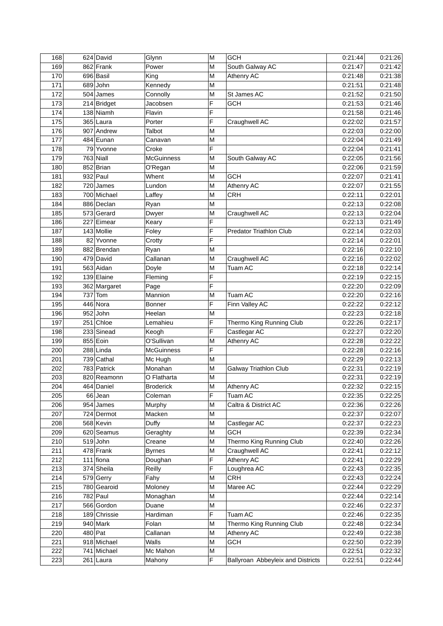| 168 | 624 David    | Glynn             | M         | <b>GCH</b>                        | 0:21:44 | 0:21:26 |
|-----|--------------|-------------------|-----------|-----------------------------------|---------|---------|
| 169 | 862 Frank    | Power             | M         | South Galway AC                   | 0:21:47 | 0:21:42 |
| 170 | 696 Basil    | King              | M         | Athenry AC                        | 0:21:48 | 0:21:38 |
| 171 | $689$ John   | Kennedy           | M         |                                   | 0:21:51 | 0:21:48 |
| 172 | $504$ James  | Connolly          | M         | St James AC                       | 0:21:52 | 0:21:50 |
| 173 | 214 Bridget  | Jacobsen          | F         | <b>GCH</b>                        | 0:21:53 | 0:21:46 |
| 174 | $138$ Niamh  | Flavin            | F         |                                   | 0:21:58 | 0:21:46 |
| 175 | 365 Laura    | Porter            | F         | Craughwell AC                     | 0:22:02 | 0:21:57 |
| 176 | 907 Andrew   | Talbot            | M         |                                   | 0:22:03 | 0:22:00 |
| 177 | 484 Eunan    | Canavan           | M         |                                   | 0:22:04 | 0:21:49 |
| 178 | 79 Yvonne    | Croke             | F         |                                   | 0:22:04 | 0:21:41 |
| 179 | $763$ Niall  | McGuinness        | M         | South Galway AC                   | 0:22:05 | 0:21:56 |
| 180 | 852 Brian    | O'Regan           | M         |                                   | 0:22:06 | 0:21:59 |
| 181 | $932$ Paul   | Whent             | M         | <b>GCH</b>                        | 0:22:07 | 0:21:41 |
| 182 | $720$ James  | Lundon            | M         | Athenry AC                        | 0:22:07 | 0:21:55 |
| 183 | 700 Michael  | Laffey            | M         | <b>CRH</b>                        | 0:22:11 | 0:22:01 |
| 184 | 886 Declan   | Ryan              | M         |                                   | 0:22:13 | 0:22:08 |
| 185 | 573 Gerard   | Dwyer             | M         | Craughwell AC                     | 0:22:13 | 0:22:04 |
| 186 | 227 Eimear   | Keary             | F         |                                   | 0:22:13 | 0:21:49 |
| 187 | 143 Mollie   | Foley             | F         | <b>Predator Triathlon Club</b>    | 0:22:14 | 0:22:03 |
| 188 | 82 Yvonne    | Crotty            | F         |                                   | 0:22:14 | 0:22:01 |
| 189 | 882 Brendan  | Ryan              | M         |                                   | 0:22:16 | 0:22:10 |
| 190 | 479 David    | Callanan          | M         | Craughwell AC                     | 0:22:16 | 0:22:02 |
| 191 | 563 Aidan    | Doyle             | M         | Tuam AC                           | 0:22:18 | 0:22:14 |
| 192 | 139 Elaine   | Fleming           | F         |                                   | 0:22:19 | 0:22:15 |
| 193 | 362 Margaret | Page              | F         |                                   | 0:22:20 | 0:22:09 |
| 194 | $737$ Tom    | Mannion           | M         | Tuam AC                           | 0:22:20 | 0:22:16 |
| 195 | 446 Nora     | <b>Bonner</b>     | F         | Finn Valley AC                    | 0:22:22 | 0:22:12 |
| 196 | $952$ John   | Heelan            | M         |                                   | 0:22:23 | 0:22:18 |
| 197 | $251$ Chloe  | Lemahieu          | F         | Thermo King Running Club          | 0:22:26 | 0:22:17 |
| 198 | 233 Sinead   | Keogh             | F         | Castlegar AC                      | 0:22:27 | 0:22:20 |
| 199 | 855 Eoin     | O'Sullivan        | M         | Athenry AC                        | 0:22:28 | 0:22:22 |
| 200 | 288 Linda    | <b>McGuinness</b> | F         |                                   | 0:22:28 | 0:22:16 |
| 201 | $739$ Cathal | Mc Hugh           | M         |                                   | 0:22:29 | 0:22:13 |
| 202 | 783 Patrick  | Monahan           | M         | <b>Galway Triathlon Club</b>      | 0:22:31 | 0:22:19 |
| 203 | 820 Reamonn  | O Flatharta       | M         |                                   | 0:22:31 | 0:22:19 |
| 204 | 464 Daniel   | <b>Broderick</b>  | ${\sf M}$ | Athenry AC                        | 0:22:32 | 0:22:15 |
| 205 | 66 Jean      | Coleman           | F         | Tuam AC                           | 0:22:35 | 0:22:25 |
| 206 | $954$ James  | Murphy            | M         | Caltra & District AC              | 0:22:36 | 0:22:26 |
| 207 | 724 Dermot   | Macken            | M         |                                   | 0:22:37 | 0:22:07 |
| 208 | 568 Kevin    | Duffy             | M         | Castlegar AC                      | 0:22:37 | 0:22:23 |
| 209 | 620 Seamus   | Geraghty          | M         | <b>GCH</b>                        | 0:22:39 | 0:22:34 |
| 210 | $519$ John   | Creane            | M         | Thermo King Running Club          | 0:22:40 | 0:22:26 |
| 211 | 478 Frank    | <b>Byrnes</b>     | M         | Craughwell AC                     | 0:22:41 | 0:22:12 |
| 212 | $111$ fiona  | Doughan           | F         | Athenry AC                        | 0:22:41 | 0:22:29 |
| 213 | 374 Sheila   | Reilly            | F         | Loughrea AC                       | 0:22:43 | 0:22:35 |
| 214 | 579 Gerry    | Fahy              | M         | <b>CRH</b>                        | 0:22:43 | 0:22:24 |
| 215 | 780 Gearoid  | Moloney           | M         | Maree AC                          | 0:22:44 | 0:22:29 |
| 216 | 782 Paul     | Monaghan          | М         |                                   | 0:22:44 | 0:22:14 |
| 217 | 566 Gordon   | Duane             | М         |                                   | 0:22:46 | 0:22:37 |
| 218 | 189 Chrissie | Hardiman          | F         | Tuam AC                           | 0:22:46 | 0:22:35 |
| 219 | 940 Mark     | Folan             | M         | Thermo King Running Club          | 0:22:48 | 0:22:34 |
| 220 | 480 Pat      | Callanan          | M         | Athenry AC                        | 0:22:49 | 0:22:38 |
| 221 | 918 Michael  | Walls             | M         | <b>GCH</b>                        | 0:22:50 | 0:22:39 |
| 222 | 741 Michael  | Mc Mahon          | M         |                                   | 0:22:51 | 0:22:32 |
| 223 | 261 Laura    | Mahony            | F         | Ballyroan Abbeyleix and Districts | 0:22:51 | 0:22:44 |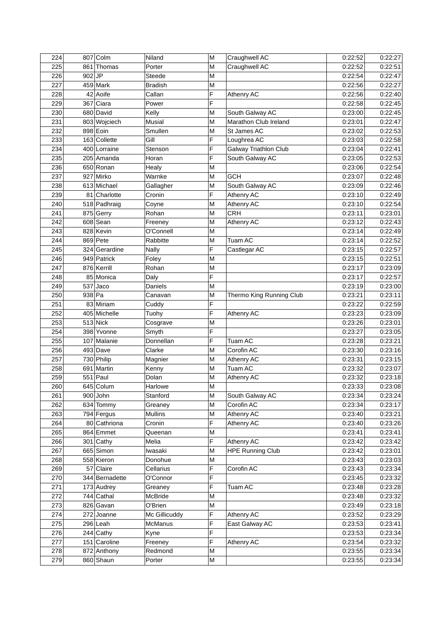| 224 |          | 807 Colm       | Niland         | M | Craughwell AC            | 0:22:52 | 0:22:27 |
|-----|----------|----------------|----------------|---|--------------------------|---------|---------|
| 225 |          | 861 Thomas     | Porter         | M | Craughwell AC            | 0:22:52 | 0:22:51 |
| 226 | $902$ JP |                | <b>Steede</b>  | M |                          | 0:22:54 | 0:22:47 |
| 227 |          | $459$ Mark     | <b>Bradish</b> | M |                          | 0:22:56 | 0:22:27 |
| 228 |          | 42 Aoife       | Callan         | F | Athenry AC               | 0:22:56 | 0:22:40 |
| 229 |          | 367 Ciara      | Power          | F |                          | 0:22:58 | 0:22:45 |
| 230 |          | 680 David      | Kelly          | M | South Galway AC          | 0:23:00 | 0:22:45 |
| 231 |          | 803 Wojciech   | <b>Musial</b>  | M | Marathon Club Ireland    | 0:23:01 | 0:22:47 |
| 232 |          | 898 Eoin       | Smullen        | M | St James AC              | 0:23:02 | 0:22:53 |
| 233 |          | 163 Collette   | Gill           | F | Loughrea AC              | 0:23:03 | 0:22:58 |
| 234 |          | 400 Lorraine   | Stenson        | F | Galway Triathlon Club    | 0:23:04 | 0:22:41 |
| 235 |          | 205 Amanda     | Horan          | F | South Galway AC          | 0:23:05 | 0:22:53 |
| 236 |          | 650 Ronan      | Healy          | M |                          | 0:23:06 | 0:22:54 |
| 237 |          | 927 Mirko      | Warnke         | M | <b>GCH</b>               | 0:23:07 | 0:22:48 |
| 238 |          | 613 Michael    | Gallagher      | M | South Galway AC          | 0:23:09 | 0:22:46 |
| 239 |          | 81 Charlotte   | Cronin         | F | Athenry AC               | 0:23:10 | 0:22:49 |
| 240 |          | 518 Padhraig   | Coyne          | M | Athenry AC               | 0:23:10 | 0:22:54 |
| 241 |          | 875 Gerry      | Rohan          | M | <b>CRH</b>               | 0:23:11 | 0:23:01 |
| 242 |          | 608 Sean       | Freeney        | M | Athenry AC               | 0:23:12 | 0:22:43 |
| 243 |          | 828 Kevin      | O'Connell      | M |                          | 0:23:14 | 0:22:49 |
|     |          |                |                |   |                          |         |         |
| 244 |          | 869 Pete       | Rabbitte       | M | Tuam AC                  | 0:23:14 | 0:22:52 |
| 245 |          | 324 Gerardine  | <b>Nally</b>   | F | Castlegar AC             | 0:23:15 | 0:22:57 |
| 246 |          | 949 Patrick    | Foley          | M |                          | 0:23:15 | 0:22:51 |
| 247 |          | 876 Kerrill    | Rohan          | M |                          | 0:23:17 | 0:23:09 |
| 248 |          | 85 Monica      | Daly           | F |                          | 0:23:17 | 0:22:57 |
| 249 |          | $537$ Jaco     | Daniels        | M |                          | 0:23:19 | 0:23:00 |
| 250 | 938 Pa   |                | Canavan        | M | Thermo King Running Club | 0:23:21 | 0:23:11 |
| 251 |          | 83 Miriam      | Cuddy          | F |                          | 0:23:22 | 0:22:59 |
| 252 |          | 405 Michelle   | Tuohy          | F | Athenry AC               | 0:23:23 | 0:23:09 |
| 253 |          | $513$ Nick     | Cosgrave       | M |                          | 0:23:26 | 0:23:01 |
| 254 |          | 398 Yvonne     | Smyth          | F |                          | 0:23:27 | 0:23:05 |
| 255 |          | 107 Malanie    | Donnellan      | F | Tuam AC                  | 0:23:28 | 0:23:21 |
| 256 |          | $493$ Dave     | Clarke         | M | Corofin AC               | 0:23:30 | 0:23:16 |
| 257 |          | 730 Philip     | Magnier        | M | Athenry AC               | 0:23:31 | 0:23:15 |
| 258 |          | 691 Martin     | Kenny          | M | Tuam AC                  | 0:23:32 | 0:23:07 |
| 259 |          | $551$ Paul     | Dolan          | M | Athenry AC               | 0:23:32 | 0:23:18 |
| 260 |          | 645 Colum      | Harlowe        | M |                          | 0:23:33 | 0:23:08 |
| 261 |          | 900 John       | Stanford       | М | South Galway AC          | 0:23:34 | 0:23:24 |
| 262 |          | 634 Tommy      | Greaney        | M | Corofin AC               | 0:23:34 | 0:23:17 |
| 263 |          | 794 Fergus     | <b>Mullins</b> | M | Athenry AC               | 0:23:40 | 0:23:21 |
| 264 |          | 80 Cathriona   | Cronin         | F | Athenry AC               | 0:23:40 | 0:23:26 |
| 265 |          | 864 Emmet      | Queenan        | M |                          | 0:23:41 | 0:23:41 |
| 266 |          | $301$ Cathy    | Melia          | F | Athenry AC               | 0:23:42 | 0:23:42 |
| 267 |          | 665 Simon      | Iwasaki        | M | <b>HPE Running Club</b>  | 0:23:42 | 0:23:01 |
| 268 |          | 558 Kieron     | Donohue        | M |                          | 0:23:43 | 0:23:03 |
| 269 |          | 57 Claire      | Cellarius      | F | Corofin AC               | 0:23:43 | 0:23:34 |
| 270 |          | 344 Bernadette | O'Connor       | F |                          | 0:23:45 | 0:23:32 |
| 271 |          | 173 Audrey     | Greaney        | F | Tuam AC                  | 0:23:48 | 0:23:28 |
| 272 |          | 744 Cathal     | McBride        | M |                          | 0:23:48 | 0:23:32 |
| 273 |          | 826 Gavan      | O'Brien        | M |                          | 0:23:49 | 0:23:18 |
| 274 |          | 272 Joanne     | Mc Gillicuddy  | F | Athenry AC               | 0:23:52 | 0:23:29 |
| 275 |          | $296$ Leah     | McManus        | F | East Galway AC           | 0:23:53 | 0:23:41 |
| 276 |          | $244$ Cathy    | Kyne           | F |                          | 0:23:53 | 0:23:34 |
| 277 |          | 151 Caroline   | Freeney        | F | <b>Athenry AC</b>        | 0:23:54 | 0:23:32 |
| 278 |          | 872 Anthony    | Redmond        | M |                          | 0:23:55 | 0:23:34 |
| 279 |          | 860 Shaun      | Porter         | М |                          | 0:23:55 | 0:23:34 |
|     |          |                |                |   |                          |         |         |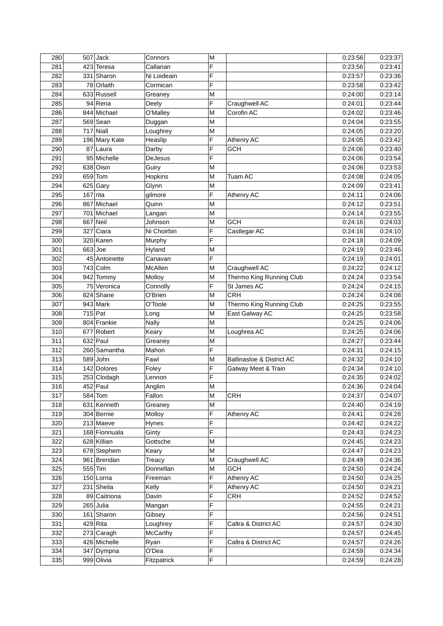| 280 |            | $507$ Jack    | Connors        | M                       |                           | 0:23:56 | 0:23:37 |
|-----|------------|---------------|----------------|-------------------------|---------------------------|---------|---------|
| 281 |            | 423 Teresa    | Callanan       | F                       |                           | 0:23:56 | 0:23:41 |
| 282 |            | 331 Sharon    | Ni Loideain    | F                       |                           | 0:23:57 | 0:23:36 |
| 283 |            | 78 Orlaith    | Cormican       | F                       |                           | 0:23:58 | 0:23:42 |
| 284 |            | 633 Russell   | Greaney        | M                       |                           | 0:24:00 | 0:23:14 |
| 285 |            | $94$ Rena     | Deely          | F                       | Craughwell AC             | 0:24:01 | 0:23:44 |
| 286 |            | 844 Michael   | O'Malley       | M                       | Corofin AC                | 0:24:02 | 0:23:46 |
| 287 |            | 569 Sean      | Duggan         | M                       |                           | 0:24:04 | 0:23:55 |
| 288 |            | $717$ Niall   | Loughrey       | M                       |                           | 0:24:05 | 0:23:20 |
| 289 |            | 196 Mary Kate | Heaslip        | F                       | Athenry AC                | 0:24:05 | 0:23:42 |
| 290 |            | 87 Laura      | Darby          | F                       | <b>GCH</b>                | 0:24:06 | 0:23:40 |
| 291 |            | 95 Michelle   | <b>DeJesus</b> | F                       |                           | 0:24:06 | 0:23:54 |
| 292 |            | 638 Oisin     | Guiry          | M                       |                           | 0:24:06 | 0:23:53 |
| 293 |            | $659$ Tom     | Hopkins        | M                       | Tuam AC                   | 0:24:08 | 0:24:05 |
| 294 |            | $625$ Gary    | Glynn          | M                       |                           | 0:24:09 | 0:23:41 |
| 295 | $167$ rita |               | gilmore        | F                       | Athenry AC                | 0:24:11 | 0:24:06 |
| 296 |            | 867 Michael   | Quinn          | M                       |                           | 0:24:12 | 0:23:51 |
| 297 |            | 701 Michael   | Langan         | M                       |                           | 0:24:14 | 0:23:55 |
| 298 |            | $667$ Neil    | Johnson        | M                       | <b>GCH</b>                | 0:24:16 | 0:24:03 |
| 299 |            | 327 Ciara     | Ni Choirbin    | F                       | Castlegar AC              | 0:24:16 | 0:24:10 |
| 300 |            | 320 Karen     | Murphy         | F                       |                           | 0:24:18 | 0:24:09 |
| 301 |            | $663$ Joe     | Hyland         | M                       |                           | 0:24:19 | 0:23:46 |
| 302 |            | 45 Antoinette | Canavan        | F                       |                           | 0:24:19 | 0:24:01 |
| 303 |            | $743$ Colm    | McAllen        | M                       | Craughwell AC             | 0:24:22 | 0:24:12 |
| 304 |            | 942 Tommy     | Molloy         | M                       | Thermo King Running Club  | 0:24:24 | 0:23:54 |
| 305 |            | 75 Veronica   | Connolly       | F                       | St James AC               | 0:24:24 | 0:24:15 |
| 306 |            | 824 Shane     | O'Brien        | M                       | <b>CRH</b>                | 0:24:24 | 0:24:08 |
| 307 |            | 943 Mark      | O'Toole        | M                       | Thermo King Running Club  | 0:24:25 | 0:23:55 |
| 308 |            | 715 Pat       | Long           | M                       | East Galway AC            | 0:24:25 | 0:23:58 |
| 309 |            | 804 Frankie   | <b>Nally</b>   | M                       |                           | 0:24:25 | 0:24:06 |
| 310 |            | 677 Robert    | Keary          | M                       | Loughrea AC               | 0:24:25 | 0:24:06 |
| 311 |            | $632$ Paul    | Greaney        | M                       |                           | 0:24:27 | 0:23:44 |
| 312 |            | 260 Samantha  | Mahon          | F                       |                           | 0:24:31 | 0:24:15 |
| 313 |            | 589 John      | Fawl           | M                       | Ballinasloe & District AC | 0:24:32 | 0:24:10 |
| 314 |            | 142 Dolores   | Foley          | F                       | Galway Meet & Train       | 0:24:34 | 0:24:10 |
| 315 |            | 253 Clodagh   | Lennon         | F                       |                           | 0:24:35 | 0:24:02 |
| 316 |            | 452 Paul      | Anglim         | $\overline{\mathsf{M}}$ |                           | 0:24:36 | 0:24:04 |
| 317 |            | 584 Tom       | Fallon         | М                       | CRH                       | 0:24:37 | 0:24:07 |
| 318 |            | 631 Kenneth   | Greaney        | M                       |                           | 0:24:40 | 0:24:19 |
| 319 |            | 304 Bernie    | Molloy         | F                       | Athenry AC                | 0:24:41 | 0:24:28 |
| 320 |            | 213 Maeve     | <b>Hynes</b>   | F                       |                           | 0:24:42 | 0:24:22 |
| 321 |            | 168 Fionnuala | Ginty          | F                       |                           | 0:24:43 | 0:24:23 |
| 322 |            | 628 Killian   | Gottsche       | M                       |                           | 0:24:45 | 0:24:23 |
| 323 |            | 678 Stephem   | Keary          | M                       |                           | 0:24:47 | 0:24:23 |
| 324 |            | 961 Brendan   | <b>Treacy</b>  | M                       | Craughwell AC             | 0:24:49 | 0:24:36 |
| 325 |            | 555 Tim       | Donnellan      | M                       | <b>GCH</b>                | 0:24:50 | 0:24:24 |
| 326 |            | $150$ Lorna   | Freeman        | F                       | Athenry AC                | 0:24:50 | 0:24:25 |
| 327 |            | 231 Sheila    | Kelly          | F                       | Athenry AC                | 0:24:50 | 0:24:21 |
| 328 |            | 89 Caitriona  | Davin          | F                       | <b>CRH</b>                | 0:24:52 | 0:24:52 |
| 329 |            | $265$ Julia   | Mangan         | F                       |                           | 0:24:55 | 0:24:21 |
| 330 |            | 161 Sharon    | Gibsey         | F                       |                           | 0:24:56 | 0:24:51 |
| 331 |            | $429$ Rita    | Loughrey       | F                       | Caltra & District AC      | 0:24:57 | 0:24:30 |
| 332 |            | 273 Caragh    | McCarthy       | F                       |                           | 0:24:57 | 0:24:45 |
| 333 |            | 426 Michelle  | Ryan           | F                       | Caltra & District AC      | 0:24:57 | 0:24:26 |
| 334 |            | 347 Dympna    | O'Dea          | F                       |                           | 0:24:59 | 0:24:34 |
|     |            |               |                | F                       |                           |         | 0:24:28 |
| 335 |            | 999 Olivia    | Fitzpatrick    |                         |                           | 0:24:59 |         |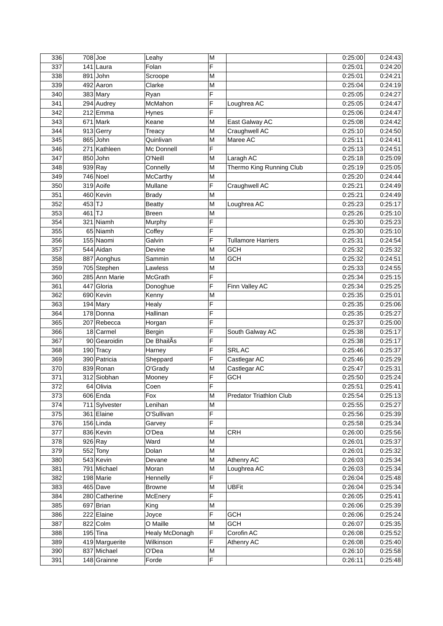| 336 |          | $708$ Joe               | Leahy          | M |                                | 0:25:00 | 0:24:43 |
|-----|----------|-------------------------|----------------|---|--------------------------------|---------|---------|
| 337 |          | $141$ Laura             | Folan          | F |                                | 0:25:01 | 0:24:20 |
| 338 |          | 891 John                | Scroope        | M |                                | 0:25:01 | 0:24:21 |
| 339 |          | 492 Aaron               | Clarke         | M |                                | 0:25:04 | 0:24:19 |
| 340 |          | $383$ Mary              | Ryan           | F |                                | 0:25:05 | 0:24:27 |
| 341 |          | $\overline{294}$ Audrey | McMahon        | F | Loughrea AC                    | 0:25:05 | 0:24:47 |
| 342 |          | $212$ Emma              | Hynes          | F |                                | 0:25:06 | 0:24:47 |
| 343 |          | $671$ Mark              | Keane          | M | East Galway AC                 | 0:25:08 | 0:24:42 |
| 344 |          | 913 Gerry               | <b>Treacy</b>  | M | Craughwell AC                  | 0:25:10 | 0:24:50 |
| 345 |          | $865$ John              | Quinlivan      | M | Maree AC                       | 0:25:11 | 0:24:41 |
| 346 |          | 271 Kathleen            | Mc Donnell     | F |                                | 0:25:13 | 0:24:51 |
| 347 |          | 850 John                | O'Neill        | M | Laragh AC                      | 0:25:18 | 0:25:09 |
| 348 |          | 939 Ray                 | Connelly       | M | Thermo King Running Club       | 0:25:19 | 0:25:05 |
| 349 |          | $746$ Noel              | McCarthy       | M |                                | 0:25:20 | 0:24:44 |
| 350 |          | 319 Aoife               | Mullane        | F | Craughwell AC                  | 0:25:21 | 0:24:49 |
| 351 |          | 460 Kevin               | <b>Brady</b>   | M |                                | 0:25:21 | 0:24:49 |
|     | 453 TJ   |                         |                |   |                                |         | 0:25:17 |
| 352 |          |                         | <b>Beatty</b>  | M | Loughrea AC                    | 0:25:23 |         |
| 353 | $461$ TJ |                         | <b>Breen</b>   | M |                                | 0:25:26 | 0:25:10 |
| 354 |          | 321 Niamh               | Murphy         | F |                                | 0:25:30 | 0:25:23 |
| 355 |          | 65 Niamh                | Coffey         | F |                                | 0:25:30 | 0:25:10 |
| 356 |          | 155 Naomi               | Galvin         | F | <b>Tullamore Harriers</b>      | 0:25:31 | 0:24:54 |
| 357 |          | 544 Aidan               | Devine         | M | GCH                            | 0:25:32 | 0:25:32 |
| 358 |          | 887 Aonghus             | Sammin         | M | <b>GCH</b>                     | 0:25:32 | 0:24:51 |
| 359 |          | 705 Stephen             | Lawless        | M |                                | 0:25:33 | 0:24:55 |
| 360 |          | 285 Ann Marie           | McGrath        | F |                                | 0:25:34 | 0:25:15 |
| 361 |          | 447 Gloria              | Donoghue       | F | Finn Valley AC                 | 0:25:34 | 0:25:25 |
| 362 |          | 690 Kevin               | Kenny          | M |                                | 0:25:35 | 0:25:01 |
| 363 |          | $194$ Mary              | Healy          | F |                                | 0:25:35 | 0:25:06 |
| 364 |          | 178 Donna               | Hallinan       | F |                                | 0:25:35 | 0:25:27 |
| 365 |          | 207 Rebecca             | Horgan         | F |                                | 0:25:37 | 0:25:00 |
| 366 |          | 18 Carmel               | Bergin         | F | South Galway AC                | 0:25:38 | 0:25:17 |
| 367 |          | 90 Gearoidin            | De BhailAs     | F |                                | 0:25:38 | 0:25:17 |
| 368 |          | 190 Tracy               | Harney         | F | SRL AC                         | 0:25:46 | 0:25:37 |
| 369 |          | 390 Patricia            | Sheppard       | F | Castlegar AC                   | 0:25:46 | 0:25:29 |
| 370 |          | 839 Ronan               | O'Grady        | M | Castlegar AC                   | 0:25:47 | 0:25:31 |
| 371 |          | 312 Siobhan             | Mooney         | F | <b>GCH</b>                     | 0:25:50 | 0:25:24 |
| 372 |          | 64 Olivia               | Coen           | F |                                | 0:25:51 | 0:25:41 |
| 373 |          | 606 Enda                | Fox            | М | <b>Predator Triathlon Club</b> | 0:25:54 | 0:25:13 |
| 374 |          | 711 Sylvester           | Lenihan        | M |                                | 0:25:55 | 0:25:27 |
| 375 |          | 361 Elaine              | O'Sullivan     | F |                                | 0:25:56 | 0:25:39 |
| 376 |          | $156$ Linda             | Garvey         | F |                                | 0:25:58 | 0:25:34 |
| 377 |          | 836 Kevin               | O'Dea          | M | CRH                            | 0:26:00 | 0:25:56 |
| 378 |          | 926 Ray                 | Ward           | M |                                | 0:26:01 | 0:25:37 |
| 379 |          | $552$ Tony              | Dolan          | M |                                | 0:26:01 | 0:25:32 |
| 380 |          | 543 Kevin               | Devane         | M | Athenry AC                     | 0:26:03 | 0:25:34 |
| 381 |          | 791 Michael             | Moran          | M | Loughrea AC                    | 0:26:03 | 0:25:34 |
| 382 |          | 198 Marie               | Hennelly       | F |                                | 0:26:04 | 0:25:48 |
| 383 |          | 465 Dave                | <b>Browne</b>  | M | <b>UBFit</b>                   | 0:26:04 | 0:25:34 |
| 384 |          | 280 Catherine           | McEnery        | F |                                | 0:26:05 | 0:25:41 |
| 385 |          | 697 Brian               | King           | M |                                | 0:26:06 | 0:25:39 |
| 386 |          |                         |                | F |                                |         | 0:25:24 |
|     |          | 222 Elaine              | Joyce          |   | <b>GCH</b>                     | 0:26:06 |         |
| 387 |          | 822 Colm                | O Maille       | M | <b>GCH</b>                     | 0:26:07 | 0:25:35 |
| 388 |          | $195$ Tina              | Healy McDonagh | F | Corofin AC                     | 0:26:08 | 0:25:52 |
| 389 |          | 419 Marguerite          | Wilkinson      | F | Athenry AC                     | 0:26:08 | 0:25:40 |
| 390 |          | 837 Michael             | O'Dea          | M |                                | 0:26:10 | 0:25:58 |
| 391 |          | 148 Grainne             | Forde          | F |                                | 0:26:11 | 0:25:48 |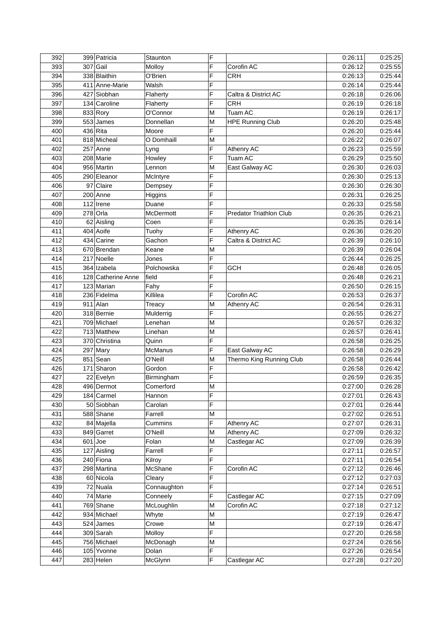| 392 | 399 Patricia       | Staunton    | F |                                | 0:26:11 | 0:25:25 |
|-----|--------------------|-------------|---|--------------------------------|---------|---------|
| 393 | $307$ Gail         | Molloy      | F | Corofin AC                     | 0:26:12 | 0:25:55 |
| 394 | 338 Blaithin       | O'Brien     | F | <b>CRH</b>                     | 0:26:13 | 0:25:44 |
| 395 | 411 Anne-Marie     | Walsh       | F |                                | 0:26:14 | 0:25:44 |
| 396 | 427 Siobhan        | Flaherty    | F | Caltra & District AC           | 0:26:18 | 0:26:06 |
| 397 | 134 Caroline       | Flaherty    | F | <b>CRH</b>                     | 0:26:19 | 0:26:18 |
| 398 | 833 Rory           | O'Connor    | M | Tuam AC                        | 0:26:19 | 0:26:17 |
| 399 | 553 James          | Donnellan   | M | <b>HPE Running Club</b>        | 0:26:20 | 0:25:48 |
| 400 | $436$ Rita         | Moore       | F |                                | 0:26:20 | 0:25:44 |
| 401 | 818 Micheal        | O Domhaill  | M |                                | 0:26:22 | 0:26:07 |
| 402 | $257$ Anne         | Lyng        | F | Athenry AC                     | 0:26:23 | 0:25:59 |
| 403 | 208 Marie          | Howley      | F | Tuam AC                        | 0:26:29 | 0:25:50 |
| 404 | 956 Martin         | Lennon      | М | East Galway AC                 | 0:26:30 | 0:26:03 |
| 405 | 290 Eleanor        | McIntyre    | F |                                | 0:26:30 | 0:25:13 |
| 406 | 97 Claire          |             | F |                                | 0:26:30 | 0:26:30 |
|     |                    | Dempsey     | F |                                |         |         |
| 407 | 200 Anne           | Higgins     |   |                                | 0:26:31 | 0:26:25 |
| 408 | $112$  Irene       | Duane       | F |                                | 0:26:33 | 0:25:58 |
| 409 | $278$ Orla         | McDermott   | F | <b>Predator Triathlon Club</b> | 0:26:35 | 0:26:21 |
| 410 | 62 Aisling         | Coen        | F |                                | 0:26:35 | 0:26:14 |
| 411 | 404 Aoife          | Tuohy       | F | Athenry AC                     | 0:26:36 | 0:26:20 |
| 412 | 434 Carine         | Gachon      | F | Caltra & District AC           | 0:26:39 | 0:26:10 |
| 413 | 670 Brendan        | Keane       | M |                                | 0:26:39 | 0:26:04 |
| 414 | 217 Noelle         | Jones       | F |                                | 0:26:44 | 0:26:25 |
| 415 | 364 Izabela        | Polchowska  | F | <b>GCH</b>                     | 0:26:48 | 0:26:05 |
| 416 | 128 Catherine Anne | field       | F |                                | 0:26:48 | 0:26:21 |
| 417 | 123 Marian         | Fahy        | F |                                | 0:26:50 | 0:26:15 |
| 418 | 236 Fidelma        | Killilea    | F | Corofin AC                     | 0:26:53 | 0:26:37 |
| 419 | $911$ Alan         | Treacy      | M | Athenry AC                     | 0:26:54 | 0:26:31 |
| 420 | 318 Bernie         | Mulderrig   | F |                                | 0:26:55 | 0:26:27 |
| 421 | 709 Michael        | Lenehan     | M |                                | 0:26:57 | 0:26:32 |
| 422 | 713 Matthew        | Linehan     | M |                                | 0:26:57 | 0:26:41 |
| 423 | 370 Christina      | Quinn       | F |                                | 0:26:58 | 0:26:25 |
| 424 | $297$ Mary         | McManus     | F | East Galway AC                 | 0:26:58 | 0:26:29 |
| 425 | $851$ Sean         | O'Neill     | M | Thermo King Running Club       | 0:26:58 | 0:26:44 |
| 426 | 171 Sharon         | Gordon      | F |                                | 0:26:58 | 0:26:42 |
| 427 | 22 Evelyn          | Birmingham  | F |                                | 0:26:59 | 0:26:35 |
| 428 | 496 Dermot         | Comerford   | M |                                | 0:27:00 | 0:26:28 |
| 429 | 184 Carmel         | Hannon      | F |                                | 0:27:01 | 0:26:43 |
| 430 | 50 Siobhan         | Carolan     | F |                                | 0:27:01 | 0:26:44 |
| 431 | 588 Shane          | Farrell     | M |                                | 0:27:02 | 0:26:51 |
| 432 | 84 Majella         | Cummins     | F | Athenry AC                     | 0:27:07 | 0:26:31 |
| 433 | 849 Garret         | O'Neill     | M | Athenry AC                     | 0:27:09 | 0:26:32 |
| 434 | $601$ Joe          | Folan       | M | Castlegar AC                   | 0:27:09 | 0:26:39 |
| 435 | 127 Aisling        |             | F |                                | 0:27:11 | 0:26:57 |
|     |                    | Farrell     | F |                                |         |         |
| 436 | 240 Fiona          | Kilroy      | F |                                | 0:27:11 | 0:26:54 |
| 437 | 298 Martina        | McShane     |   | Corofin AC                     | 0:27:12 | 0:26:46 |
| 438 | 60 Nicola          | Cleary      | F |                                | 0:27:12 | 0:27:03 |
| 439 | 72 Nuala           | Connaughton | F |                                | 0:27:14 | 0:26:51 |
| 440 | 74 Marie           | Conneely    | F | Castlegar AC                   | 0:27:15 | 0:27:09 |
| 441 | 769 Shane          | McLoughlin  | M | Corofin AC                     | 0:27:18 | 0:27:12 |
| 442 | 934 Michael        | Whyte       | M |                                | 0:27:19 | 0:26:47 |
| 443 | $524$ James        | Crowe       | M |                                | 0:27:19 | 0:26:47 |
| 444 | 309 Sarah          | Molloy      | F |                                | 0:27:20 | 0:26:58 |
| 445 | 756 Michael        | McDonagh    | M |                                | 0:27:24 | 0:26:56 |
| 446 | 105 Yvonne         | Dolan       | F |                                | 0:27:26 | 0:26:54 |
| 447 | $283$ Helen        | McGlynn     | F | Castlegar AC                   | 0:27:28 | 0:27:20 |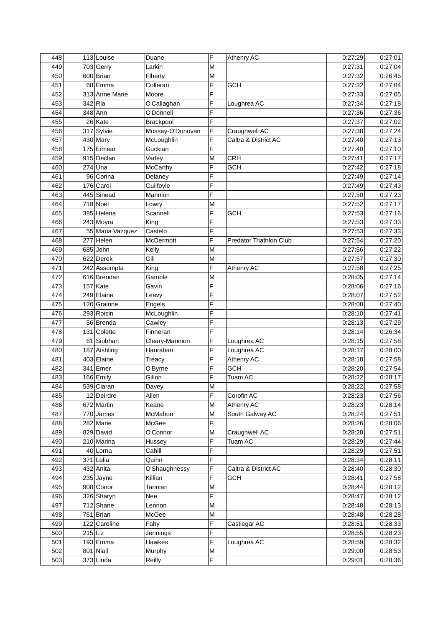| 448        |           | 113 Louise                | Duane             | F      | Athenry AC                     | 0:27:29            | 0:27:01            |
|------------|-----------|---------------------------|-------------------|--------|--------------------------------|--------------------|--------------------|
| 449        |           | 703 Gerry                 | Larkin            | M      |                                | 0:27:31            | 0:27:04            |
| 450        |           | 600 Brian                 | Flherty           | M      |                                | 0:27:32            | 0:26:45            |
| 451        |           | 68 Emma                   | Colleran          | F      | <b>GCH</b>                     | 0:27:32            | 0:27:04            |
| 452        |           | 313 Anne Marie            | Moore             | F      |                                | 0:27:33            | 0:27:05            |
| 453        |           | 342 Ria                   | O'Callaghan       | F      | Loughrea AC                    | 0:27:34            | 0:27:18            |
| 454        |           | 348 Ann                   | O'Donnell         | F      |                                | 0:27:36            | 0:27:36            |
| 455        |           | $26$ Kate                 | Brackpool         | Ē      |                                | 0:27:37            | 0:27:02            |
| 456        |           | 317 Sylvie                | Mossay-O'Donovan  | F      | Craughwell AC                  | 0:27:38            | 0:27:24            |
| 457        |           | $430$ Mary                | McLoughlin        | F      | Caltra & District AC           | 0:27:40            | 0:27:13            |
| 458        |           | 175 Eimear                | Guckian           | F      |                                | 0:27:40            | 0:27:10            |
| 459        |           | 915 Declan                | Varley            | М      | <b>CRH</b>                     | 0:27:41            | 0:27:17            |
| 460        |           | $274$ Una                 | McCarthy          | F      | <b>GCH</b>                     | 0:27:42            | 0:27:18            |
| 461        |           | 96 Corina                 | Delaney           | F      |                                | 0:27:49            | 0:27:14            |
| 462        |           | $176$ Carol               | Guilfoyle         | F      |                                | 0:27:49            | 0:27:43            |
| 463        |           | 445 Sinead                | Mannion           | F      |                                | 0:27:50            | 0:27:23            |
| 464        |           | $718$ Noel                | Lowry             | M      |                                | 0:27:52            | 0:27:17            |
| 465        |           | 385 Helena                | Scannell          | F      | <b>GCH</b>                     | 0:27:53            | 0:27:16            |
| 466        |           | 243 Moyra                 | King              | F      |                                | 0:27:53            | 0:27:33            |
| 467        |           | 55 Maria Vazquez          | Castelo           | F      |                                | 0:27:53            | 0:27:33            |
| 468        |           | $277$ Helen               | McDermott         | F      | <b>Predator Triathlon Club</b> | 0:27:54            | 0:27:20            |
| 469        |           | $685$ John                | Kelly             | M      |                                | 0:27:56            | 0:27:22            |
| 470        |           | 622 Derek                 | Gill              | M      |                                | 0:27:57            | 0:27:30            |
| 471        |           | 242 Assumpta              | King              | F      | Athenry AC                     | 0:27:58            | 0:27:25            |
| 472        |           | 616 Brendan               | Gamble            | M      |                                | 0:28:05            | 0:27:14            |
| 473        |           | $157$ Kate                | Gavin             | F      |                                | 0:28:06            | 0:27:16            |
| 474        |           | 249 Elaine                |                   | F      |                                | 0:28:07            |                    |
| 475        |           | 120 Grainne               | Leavy<br>Engels   | F      |                                | 0:28:08            | 0:27:52<br>0:27:40 |
| 476        |           | 293 Roisin                | McLoughlin        | F      |                                | 0:28:10            | 0:27:41            |
| 477        |           | 56 Brenda                 | Cawley            | F      |                                | 0:28:13            | 0:27:29            |
| 478        |           | 131 Colette               | Finneran          | F      |                                | 0:28:14            | 0:26:34            |
| 479        |           | 61 Siobhan                | Cleary-Mannion    | F      | Loughrea AC                    | 0:28:15            | 0:27:58            |
| 480        |           | 187 Aishling              | Hanrahan          | F      | Loughrea AC                    | 0:28:17            | 0:28:00            |
| 481        |           | 403 Elaine                | <b>Treacy</b>     | F      | Athenry AC                     | 0:28:18            | 0:27:58            |
| 482        |           | 341 Emer                  | O'Byrne           | F      | <b>GCH</b>                     | 0:28:20            | 0:27:54            |
| 483        |           | 166 Emily                 | Gillon            | F      | Tuam AC                        | 0:28:22            | 0:28:17            |
| 484        |           | 539 Ciaran                | Davey             | M      |                                | 0:28:22            | 0:27:58            |
| 485        |           | 12 Deirdre                | Allen             | F      | Corofin AC                     | 0:28:23            | 0:27:56            |
|            |           |                           |                   | M      | Athenry AC                     | 0:28:23            |                    |
| 486<br>487 |           | 672 Martin<br>$770$ James | Keane             |        |                                | 0:28:24            | 0:28:14<br>0:27:51 |
|            |           |                           | McMahon           | M<br>F | South Galway AC                |                    |                    |
| 488<br>489 |           | 282 Marie<br>829 David    | McGee<br>O'Connor | M      | Craughwell AC                  | 0:28:26<br>0:28:28 | 0:28:06<br>0:27:51 |
|            |           |                           |                   | F      |                                | 0:28:29            |                    |
| 490        |           | 210 Marina                | Hussey            | F      | Tuam AC                        |                    | 0:27:44            |
| 491        |           | $40$  Lorna               | Cahill            |        |                                | 0:28:29            | 0:27:51            |
| 492        |           | $371$ Lelia               | Quinn             | F<br>F |                                | 0:28:34            | 0:28:11            |
| 493        |           | 432 Anita                 | O'Shaughnessy     |        | Caltra & District AC           | 0:28:40            | 0:28:30            |
| 494        |           | $235$ Jayne               | Killian           | F      | <b>GCH</b>                     | 0:28:41            | 0:27:58            |
| 495        |           | 908 Conor                 | Tannian           | M      |                                | 0:28:44            | 0:28:12            |
| 496        |           | 326 Sharyn                | Nee               | F      |                                | 0:28:47            | 0:28:12            |
| 497        |           | $712$ Shane               | Lennon            | M      |                                | 0:28:48            | 0:28:13            |
| 498        |           | $761$  Brian              | McGee             | M      |                                | 0:28:48            | 0:28:28            |
| 499        |           | 122 Caroline              | Fahy              | F      | Castlegar AC                   | 0:28:51            | 0:28:33            |
| 500        | $215$ Liz |                           | Jennings          | F      |                                | 0:28:55            | 0:28:23            |
| 501        |           | $193$ Emma                | Hawkes            | F      | Loughrea AC                    | 0:28:59            | 0:28:32            |
| 502        |           | $801$ Niall               | Murphy            | М      |                                | 0:29:00            | 0:28:53            |
| 503        |           | $373$ Linda               | Reilly            | F      |                                | 0:29:01            | 0:28:36            |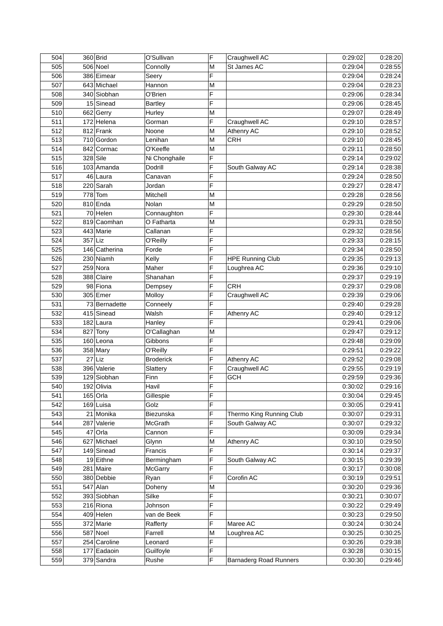| 504 |         | $360$ Brid    | O'Sullivan       | F | Craughwell AC                 | 0:29:02 | 0:28:20 |
|-----|---------|---------------|------------------|---|-------------------------------|---------|---------|
| 505 |         | 506 Noel      | Connolly         | M | St James AC                   | 0:29:04 | 0:28:55 |
| 506 |         | 386 Eimear    | Seery            | F |                               | 0:29:04 | 0:28:24 |
| 507 |         | 643 Michael   | Hannon           | M |                               | 0:29:04 | 0:28:23 |
| 508 |         | 340 Siobhan   | O'Brien          | F |                               | 0:29:06 | 0:28:34 |
| 509 |         | 15 Sinead     | <b>Bartley</b>   | F |                               | 0:29:06 | 0:28:45 |
| 510 |         | 662 Gerry     | Hurley           | M |                               | 0:29:07 | 0:28:49 |
| 511 |         | 172 Helena    | Gorman           | F | Craughwell AC                 | 0:29:10 | 0:28:57 |
| 512 |         | $812$ Frank   | Noone            | M | Athenry AC                    | 0:29:10 | 0:28:52 |
| 513 |         | 710 Gordon    | Lenihan          | M | <b>CRH</b>                    | 0:29:10 | 0:28:45 |
| 514 |         | 842 Cormac    | O'Keeffe         | M |                               | 0:29:11 | 0:28:50 |
| 515 |         | 328 Sile      | Ni Chonghaile    | F |                               | 0:29:14 | 0:29:02 |
| 516 |         | 103 Amanda    | Dodrill          | F | South Galway AC               | 0:29:14 | 0:28:38 |
| 517 |         | 46 Laura      | Canavan          | F |                               | 0:29:24 | 0:28:50 |
| 518 |         | 220 Sarah     | Jordan           | F |                               | 0:29:27 | 0:28:47 |
| 519 |         | $778$ Tom     | Mitchell         | M |                               | 0:29:28 | 0:28:56 |
| 520 |         | $810$ Enda    | Nolan            | M |                               | 0:29:29 | 0:28:50 |
|     |         |               |                  | F |                               | 0:29:30 |         |
| 521 |         | 70 Helen      | Connaughton      |   |                               |         | 0:28:44 |
| 522 |         | 819 Caomhan   | O Fatharta       | M |                               | 0:29:31 | 0:28:50 |
| 523 |         | 443 Marie     | Callanan         | F |                               | 0:29:32 | 0:28:56 |
| 524 | 357 Liz |               | O'Reilly         | F |                               | 0:29:33 | 0:28:15 |
| 525 |         | 146 Catherina | Forde            | F |                               | 0:29:34 | 0:28:50 |
| 526 |         | 230 Niamh     | Kelly            | F | <b>HPE Running Club</b>       | 0:29:35 | 0:29:13 |
| 527 |         | 259 Nora      | Maher            | F | Loughrea AC                   | 0:29:36 | 0:29:10 |
| 528 |         | 388 Claire    | Shanahan         | F |                               | 0:29:37 | 0:29:19 |
| 529 |         | 98 Fiona      | Dempsey          | F | <b>CRH</b>                    | 0:29:37 | 0:29:08 |
| 530 |         | 305 Emer      | Molloy           | F | Craughwell AC                 | 0:29:39 | 0:29:06 |
| 531 |         | 73 Bernadette | Conneely         | F |                               | 0:29:40 | 0:29:28 |
| 532 |         | 415 Sinead    | Walsh            | F | Athenry AC                    | 0:29:40 | 0:29:12 |
| 533 |         | $182$ Laura   | Hanley           | F |                               | 0:29:41 | 0:29:06 |
| 534 |         | $827$ Tony    | O'Callaghan      | M |                               | 0:29:47 | 0:29:12 |
| 535 |         | 160 Leona     | Gibbons          | F |                               | 0:29:48 | 0:29:09 |
| 536 |         | $358$ Mary    | O'Reilly         | F |                               | 0:29:51 | 0:29:22 |
| 537 |         | $27$ Liz      | <b>Broderick</b> | F | Athenry AC                    | 0:29:52 | 0:29:08 |
| 538 |         | 396 Valerie   | Slattery         | F | Craughwell AC                 | 0:29:55 | 0:29:19 |
| 539 |         | 129 Siobhan   | Finn             | F | <b>GCH</b>                    | 0:29:59 | 0:29:36 |
| 540 |         | 192 Olivia    | Havil            | F |                               | 0:30:02 | 0:29:16 |
| 541 |         | $165$ Orla    | Gillespie        | F |                               | 0:30:04 | 0:29:45 |
| 542 |         | $169$ Luisa   | Golz             | F |                               | 0:30:05 | 0:29:41 |
| 543 |         | 21 Monika     | Biezunska        | F | Thermo King Running Club      | 0:30:07 | 0:29:31 |
| 544 |         | 287 Valerie   | McGrath          | F | South Galway AC               | 0:30:07 | 0:29:32 |
| 545 |         | 47 Orla       | Cannon           | F |                               | 0:30:09 | 0:29:34 |
| 546 |         | 627 Michael   | Glynn            | M | Athenry AC                    | 0:30:10 | 0:29:50 |
| 547 |         | 149 Sinead    | Francis          | F |                               | 0:30:14 | 0:29:37 |
| 548 |         | 19 Eithne     | Bermingham       | F | South Galway AC               | 0:30:15 | 0:29:39 |
| 549 |         | 281 Maire     | McGarry          | F |                               | 0:30:17 | 0:30:08 |
| 550 |         | 380 Debbie    | Ryan             | F | Corofin AC                    | 0:30:19 | 0:29:51 |
| 551 |         | $547$ Alan    | Doheny           | M |                               | 0:30:20 | 0:29:36 |
| 552 |         | 393 Siobhan   | Silke            | F |                               | 0:30:21 | 0:30:07 |
| 553 |         | 216 Riona     | Johnson          | F |                               | 0:30:22 | 0:29:49 |
| 554 |         | 409 Helen     | van de Beek      | F |                               | 0:30:23 | 0:29:50 |
| 555 |         | 372 Marie     | Rafferty         | F | Maree AC                      | 0:30:24 | 0:30:24 |
| 556 |         | $587$ Noel    | Farrell          | M | Loughrea AC                   | 0:30:25 | 0:30:25 |
| 557 |         | 254 Caroline  |                  | F |                               | 0:30:26 | 0:29:38 |
|     |         |               | Leonard          | F |                               |         |         |
| 558 |         | 177 Eadaoin   | Guilfoyle        |   |                               | 0:30:28 | 0:30:15 |
| 559 |         | 379 Sandra    | Rushe            | F | <b>Barnaderg Road Runners</b> | 0:30:30 | 0:29:46 |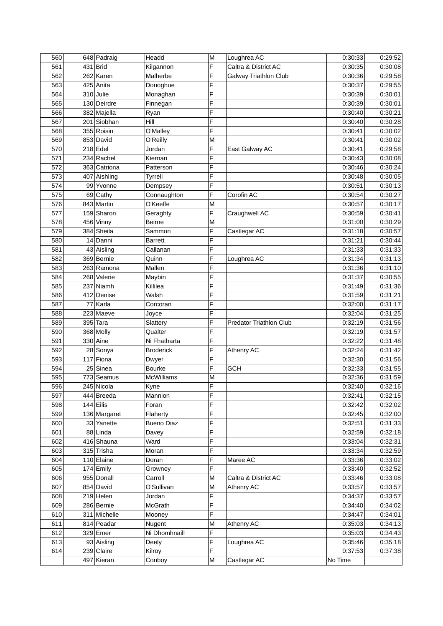| 560 | 648 Padraig  | Headd             | M | Loughrea AC                    | 0:30:33 | 0:29:52 |
|-----|--------------|-------------------|---|--------------------------------|---------|---------|
| 561 | $431$ Brid   | Kilgannon         | F | Caltra & District AC           | 0:30:35 | 0:30:08 |
| 562 | 262 Karen    | Malherbe          | F | <b>Galway Triathlon Club</b>   | 0:30:36 | 0:29:58 |
| 563 | 425 Anita    | Donoghue          | F |                                | 0:30:37 | 0:29:55 |
| 564 | $310$ Julie  | Monaghan          | F |                                | 0:30:39 | 0:30:01 |
| 565 | 130 Deirdre  | Finnegan          | F |                                | 0:30:39 | 0:30:01 |
| 566 | 382 Majella  | Ryan              | F |                                | 0:30:40 | 0:30:21 |
| 567 | 201 Siobhan  | Hill              | F |                                | 0:30:40 | 0:30:28 |
| 568 | 355 Roisin   | O'Malley          | F |                                | 0:30:41 | 0:30:02 |
| 569 | 853 David    | O'Reilly          | M |                                | 0:30:41 | 0:30:02 |
| 570 | $218$ Edel   | Jordan            | F | East Galway AC                 | 0:30:41 | 0:29:58 |
| 571 | $234$ Rachel | Kiernan           | F |                                | 0:30:43 | 0:30:08 |
| 572 | 363 Catriona | Patterson         | F |                                | 0:30:46 | 0:30:24 |
| 573 | 407 Aishling | <b>Tyrrell</b>    | F |                                | 0:30:48 | 0:30:05 |
| 574 | 99 Yvonne    | Dempsey           | F |                                | 0:30:51 | 0:30:13 |
| 575 | $69$ Cathy   | Connaughton       | F | Corofin AC                     | 0:30:54 | 0:30:27 |
| 576 | 843 Martin   | O'Keeffe          | M |                                | 0:30:57 | 0:30:17 |
|     |              |                   | F |                                | 0:30:59 |         |
| 577 | 159 Sharon   | Geraghty          |   | Craughwell AC                  |         | 0:30:41 |
| 578 | 456 Vinny    | Beirne            | M |                                | 0:31:00 | 0:30:29 |
| 579 | 384 Sheila   | Sammon            | F | Castlegar AC                   | 0:31:18 | 0:30:57 |
| 580 | 14 Danni     | <b>Barrett</b>    | F |                                | 0:31:21 | 0:30:44 |
| 581 | 43 Aisling   | Callanan          | F |                                | 0:31:33 | 0:31:33 |
| 582 | 369 Bernie   | Quinn             | F | Loughrea AC                    | 0:31:34 | 0:31:13 |
| 583 | 263 Ramona   | Mallen            | F |                                | 0:31:36 | 0:31:10 |
| 584 | 268 Valerie  | Maybin            | F |                                | 0:31:37 | 0:30:55 |
| 585 | 237 Niamh    | Killilea          | F |                                | 0:31:49 | 0:31:36 |
| 586 | 412 Denise   | Walsh             | Ë |                                | 0:31:59 | 0:31:21 |
| 587 | 77 Karla     | Corcoran          | F |                                | 0:32:00 | 0:31:17 |
| 588 | 223 Maeve    | Joyce             | F |                                | 0:32:04 | 0:31:25 |
| 589 | 395 Tara     | Slattery          | F | <b>Predator Triathlon Club</b> | 0:32:19 | 0:31:56 |
| 590 | 368 Molly    | Qualter           | F |                                | 0:32:19 | 0:31:57 |
| 591 | $330$ Aine   | Ni Fhatharta      | F |                                | 0:32:22 | 0:31:48 |
| 592 | 28 Sonya     | <b>Broderick</b>  | F | Athenry AC                     | 0:32:24 | 0:31:42 |
| 593 | $117$ Fiona  | Dwyer             | F |                                | 0:32:30 | 0:31:56 |
| 594 | 25 Sinea     | <b>Bourke</b>     | F | <b>GCH</b>                     | 0:32:33 | 0:31:55 |
| 595 | 773 Seamus   | <b>McWilliams</b> | M |                                | 0:32:36 | 0:31:59 |
| 596 | 245 Nicola   | Kyne              | F |                                | 0:32:40 | 0:32:16 |
| 597 | 444 Breeda   | Mannion           | F |                                | 0:32:41 | 0:32:15 |
| 598 | 144 Eilis    | Foran             | F |                                | 0:32:42 | 0:32:02 |
| 599 | 136 Margaret | Flaherty          | F |                                | 0:32:45 | 0:32:00 |
| 600 | 33 Yanette   | <b>Bueno Diaz</b> | F |                                | 0:32:51 | 0:31:33 |
| 601 | 88 Linda     | Davey             | F |                                | 0:32:59 | 0:32:18 |
| 602 | 416 Shauna   | Ward              | F |                                | 0:33:04 | 0:32:31 |
| 603 | 315 Trisha   | Moran             | F |                                | 0:33:34 | 0:32:59 |
| 604 | 110 Elaine   | Doran             | F | Maree AC                       | 0:33:36 | 0:33:02 |
| 605 | 174 Emily    | Growney           | F |                                | 0:33:40 | 0:32:52 |
| 606 | 955 Donall   | Carroll           | M | Caltra & District AC           | 0:33:46 | 0:33:08 |
| 607 | 854 David    | O'Sullivan        | M | Athenry AC                     | 0:33:57 | 0:33:57 |
| 608 | $219$ Helen  | Jordan            | F |                                | 0:34:37 | 0:33:57 |
| 609 | 286 Bernie   | McGrath           | F |                                | 0:34:40 | 0:34:02 |
| 610 | 311 Michelle | Mooney            | F |                                | 0:34:47 | 0:34:01 |
| 611 | 814 Peadar   | Nugent            | M | Athenry AC                     | 0:35:03 | 0:34:13 |
| 612 | $329$ Emer   | Ni Dhomhnaill     | F |                                | 0:35:03 | 0:34:43 |
| 613 | 93 Aisling   | Deely             | F | Loughrea AC                    | 0:35:46 | 0:35:18 |
|     | 239 Claire   |                   | F |                                |         | 0:37:38 |
| 614 |              | Kilroy            |   |                                | 0:37:53 |         |
|     | 497 Kieran   | Conboy            | M | Castlegar AC                   | No Time |         |